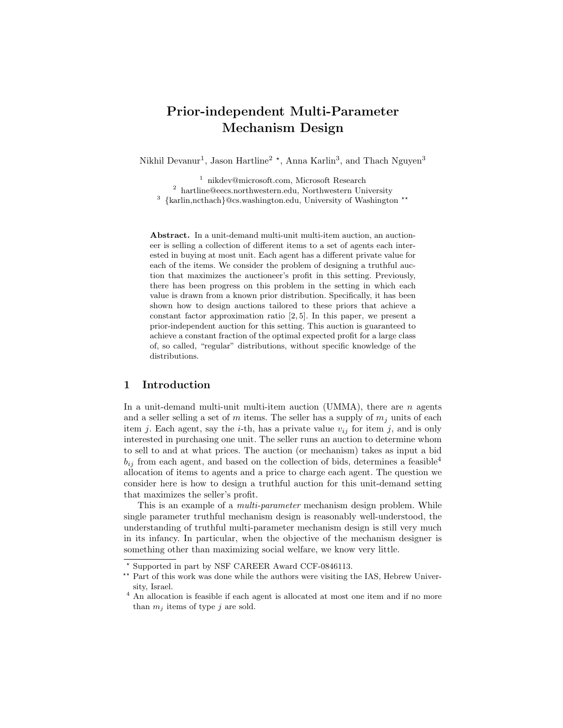# Prior-independent Multi-Parameter Mechanism Design

Nikhil Devanur<sup>1</sup>, Jason Hartline<sup>2</sup><sup>\*</sup>, Anna Karlin<sup>3</sup>, and Thach Nguyen<sup>3</sup>

<sup>1</sup> nikdev@microsoft.com, Microsoft Research <sup>2</sup> hartline@eecs.northwestern.edu, Northwestern University <sup>3</sup> {karlin,ncthach}@cs.washington.edu, University of Washington \*\*

Abstract. In a unit-demand multi-unit multi-item auction, an auctioneer is selling a collection of different items to a set of agents each interested in buying at most unit. Each agent has a different private value for each of the items. We consider the problem of designing a truthful auction that maximizes the auctioneer's profit in this setting. Previously, there has been progress on this problem in the setting in which each value is drawn from a known prior distribution. Specifically, it has been shown how to design auctions tailored to these priors that achieve a constant factor approximation ratio [2, 5]. In this paper, we present a prior-independent auction for this setting. This auction is guaranteed to achieve a constant fraction of the optimal expected profit for a large class of, so called, "regular" distributions, without specific knowledge of the distributions.

# 1 Introduction

In a unit-demand multi-unit multi-item auction (UMMA), there are  $n$  agents and a seller selling a set of m items. The seller has a supply of  $m_i$  units of each item j. Each agent, say the *i*-th, has a private value  $v_{ij}$  for item j, and is only interested in purchasing one unit. The seller runs an auction to determine whom to sell to and at what prices. The auction (or mechanism) takes as input a bid  $b_{ij}$  from each agent, and based on the collection of bids, determines a feasible<sup>4</sup> allocation of items to agents and a price to charge each agent. The question we consider here is how to design a truthful auction for this unit-demand setting that maximizes the seller's profit.

This is an example of a *multi-parameter* mechanism design problem. While single parameter truthful mechanism design is reasonably well-understood, the understanding of truthful multi-parameter mechanism design is still very much in its infancy. In particular, when the objective of the mechanism designer is something other than maximizing social welfare, we know very little.

<sup>?</sup> Supported in part by NSF CAREER Award CCF-0846113.

<sup>\*\*</sup> Part of this work was done while the authors were visiting the IAS, Hebrew University, Israel.

<sup>&</sup>lt;sup>4</sup> An allocation is feasible if each agent is allocated at most one item and if no more than  $m_i$  items of type *j* are sold.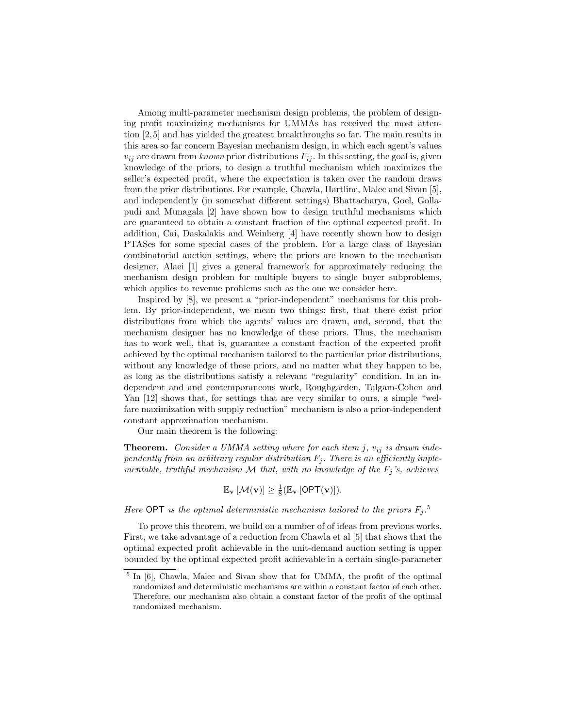Among multi-parameter mechanism design problems, the problem of designing profit maximizing mechanisms for UMMAs has received the most attention [2,5] and has yielded the greatest breakthroughs so far. The main results in this area so far concern Bayesian mechanism design, in which each agent's values  $v_{ij}$  are drawn from known prior distributions  $F_{ij}$ . In this setting, the goal is, given knowledge of the priors, to design a truthful mechanism which maximizes the seller's expected profit, where the expectation is taken over the random draws from the prior distributions. For example, Chawla, Hartline, Malec and Sivan [5], and independently (in somewhat different settings) Bhattacharya, Goel, Gollapudi and Munagala [2] have shown how to design truthful mechanisms which are guaranteed to obtain a constant fraction of the optimal expected profit. In addition, Cai, Daskalakis and Weinberg [4] have recently shown how to design PTASes for some special cases of the problem. For a large class of Bayesian combinatorial auction settings, where the priors are known to the mechanism designer, Alaei [1] gives a general framework for approximately reducing the mechanism design problem for multiple buyers to single buyer subproblems, which applies to revenue problems such as the one we consider here.

Inspired by [8], we present a "prior-independent" mechanisms for this problem. By prior-independent, we mean two things: first, that there exist prior distributions from which the agents' values are drawn, and, second, that the mechanism designer has no knowledge of these priors. Thus, the mechanism has to work well, that is, guarantee a constant fraction of the expected profit achieved by the optimal mechanism tailored to the particular prior distributions, without any knowledge of these priors, and no matter what they happen to be, as long as the distributions satisfy a relevant "regularity" condition. In an independent and and contemporaneous work, Roughgarden, Talgam-Cohen and Yan [12] shows that, for settings that are very similar to ours, a simple "welfare maximization with supply reduction" mechanism is also a prior-independent constant approximation mechanism.

Our main theorem is the following:

**Theorem.** Consider a UMMA setting where for each item j,  $v_{ij}$  is drawn independently from an arbitrary regular distribution  $F_j$ . There is an efficiently implementable, truthful mechanism  $M$  that, with no knowledge of the  $F_i$ 's, achieves

$$
\mathbb{E}_{\mathbf{v}}\left[\mathcal{M}(\mathbf{v})\right] \geq \tfrac{1}{8}(\mathbb{E}_{\mathbf{v}}\left[\mathsf{OPT}(\mathbf{v})\right]).
$$

Here OPT is the optimal deterministic mechanism tailored to the priors  $F_j$ .<sup>5</sup>

To prove this theorem, we build on a number of of ideas from previous works. First, we take advantage of a reduction from Chawla et al [5] that shows that the optimal expected profit achievable in the unit-demand auction setting is upper bounded by the optimal expected profit achievable in a certain single-parameter

<sup>&</sup>lt;sup>5</sup> In [6], Chawla, Malec and Sivan show that for UMMA, the profit of the optimal randomized and deterministic mechanisms are within a constant factor of each other. Therefore, our mechanism also obtain a constant factor of the profit of the optimal randomized mechanism.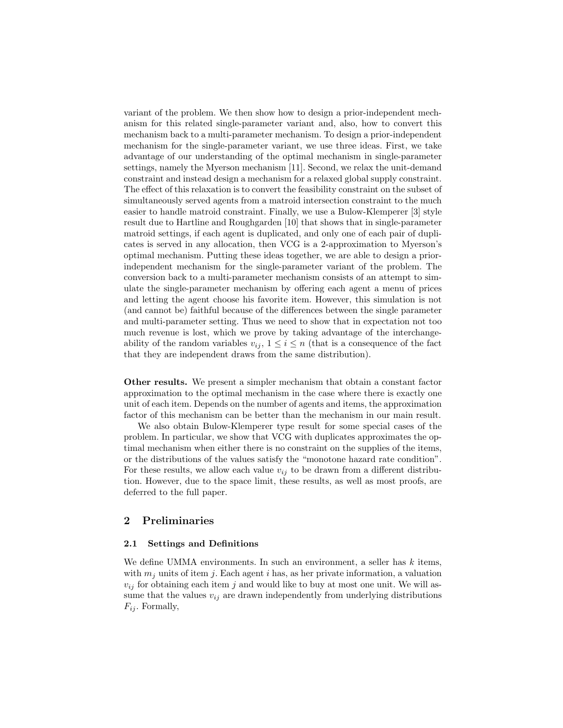variant of the problem. We then show how to design a prior-independent mechanism for this related single-parameter variant and, also, how to convert this mechanism back to a multi-parameter mechanism. To design a prior-independent mechanism for the single-parameter variant, we use three ideas. First, we take advantage of our understanding of the optimal mechanism in single-parameter settings, namely the Myerson mechanism [11]. Second, we relax the unit-demand constraint and instead design a mechanism for a relaxed global supply constraint. The effect of this relaxation is to convert the feasibility constraint on the subset of simultaneously served agents from a matroid intersection constraint to the much easier to handle matroid constraint. Finally, we use a Bulow-Klemperer [3] style result due to Hartline and Roughgarden [10] that shows that in single-parameter matroid settings, if each agent is duplicated, and only one of each pair of duplicates is served in any allocation, then VCG is a 2-approximation to Myerson's optimal mechanism. Putting these ideas together, we are able to design a priorindependent mechanism for the single-parameter variant of the problem. The conversion back to a multi-parameter mechanism consists of an attempt to simulate the single-parameter mechanism by offering each agent a menu of prices and letting the agent choose his favorite item. However, this simulation is not (and cannot be) faithful because of the differences between the single parameter and multi-parameter setting. Thus we need to show that in expectation not too much revenue is lost, which we prove by taking advantage of the interchangeability of the random variables  $v_{ij}$ ,  $1 \leq i \leq n$  (that is a consequence of the fact that they are independent draws from the same distribution).

Other results. We present a simpler mechanism that obtain a constant factor approximation to the optimal mechanism in the case where there is exactly one unit of each item. Depends on the number of agents and items, the approximation factor of this mechanism can be better than the mechanism in our main result.

We also obtain Bulow-Klemperer type result for some special cases of the problem. In particular, we show that VCG with duplicates approximates the optimal mechanism when either there is no constraint on the supplies of the items, or the distributions of the values satisfy the "monotone hazard rate condition". For these results, we allow each value  $v_{ij}$  to be drawn from a different distribution. However, due to the space limit, these results, as well as most proofs, are deferred to the full paper.

# 2 Preliminaries

## 2.1 Settings and Definitions

We define UMMA environments. In such an environment, a seller has  $k$  items, with  $m_i$  units of item j. Each agent i has, as her private information, a valuation  $v_{ij}$  for obtaining each item j and would like to buy at most one unit. We will assume that the values  $v_{ij}$  are drawn independently from underlying distributions  $F_{ij}$ . Formally,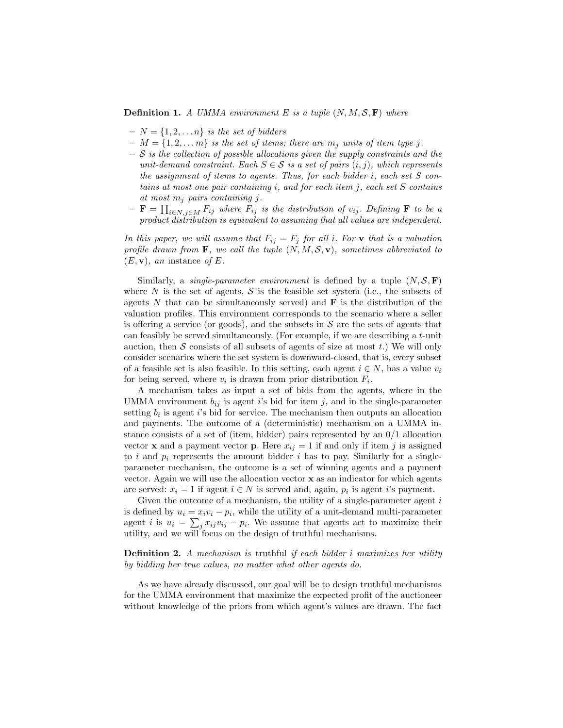**Definition 1.** A UMMA environment E is a tuple  $(N, M, S, F)$  where

- $-N = \{1, 2, \ldots n\}$  is the set of bidders
- $-M = \{1, 2, \ldots m\}$  is the set of items; there are  $m_i$  units of item type j.
- $-$  S is the collection of possible allocations given the supply constraints and the unit-demand constraint. Each  $S \in \mathcal{S}$  is a set of pairs  $(i, j)$ , which represents the assignment of items to agents. Thus, for each bidder  $i$ , each set  $S$  contains at most one pair containing i, and for each item j, each set S contains at most  $m_i$  pairs containing j.
- $-$  **F** =  $\prod_{i\in N,j\in M} F_{ij}$  where  $F_{ij}$  is the distribution of  $v_{ij}$ . Defining **F** to be a product distribution is equivalent to assuming that all values are independent.

In this paper, we will assume that  $F_{ij} = F_j$  for all i. For **v** that is a valuation profile drawn from  $\mathbf{F}$ , we call the tuple  $(N, M, S, \mathbf{v})$ , sometimes abbreviated to  $(E, \mathbf{v})$ , an instance of E.

Similarly, a *single-parameter environment* is defined by a tuple  $(N, \mathcal{S}, \mathbf{F})$ where N is the set of agents,  $S$  is the feasible set system (i.e., the subsets of agents  $N$  that can be simultaneously served) and  $\bf{F}$  is the distribution of the valuation profiles. This environment corresponds to the scenario where a seller is offering a service (or goods), and the subsets in  $\mathcal S$  are the sets of agents that can feasibly be served simultaneously. (For example, if we are describing a t-unit auction, then S consists of all subsets of agents of size at most t.) We will only consider scenarios where the set system is downward-closed, that is, every subset of a feasible set is also feasible. In this setting, each agent  $i \in N$ , has a value  $v_i$ for being served, where  $v_i$  is drawn from prior distribution  $F_i$ .

A mechanism takes as input a set of bids from the agents, where in the UMMA environment  $b_{ij}$  is agent i's bid for item j, and in the single-parameter setting  $b_i$  is agent i's bid for service. The mechanism then outputs an allocation and payments. The outcome of a (deterministic) mechanism on a UMMA instance consists of a set of (item, bidder) pairs represented by an 0/1 allocation vector **x** and a payment vector **p**. Here  $x_{ij} = 1$  if and only if item j is assigned to i and  $p_i$  represents the amount bidder i has to pay. Similarly for a singleparameter mechanism, the outcome is a set of winning agents and a payment vector. Again we will use the allocation vector x as an indicator for which agents are served:  $x_i = 1$  if agent  $i \in N$  is served and, again,  $p_i$  is agent i's payment.

Given the outcome of a mechanism, the utility of a single-parameter agent  $i$ is defined by  $u_i = x_i v_i - p_i$ , while the utility of a unit-demand multi-parameter agent *i* is  $u_i = \sum_j x_{ij}v_{ij} - p_i$ . We assume that agents act to maximize their utility, and we will focus on the design of truthful mechanisms.

**Definition 2.** A mechanism is truthful if each bidder i maximizes her utility by bidding her true values, no matter what other agents do.

As we have already discussed, our goal will be to design truthful mechanisms for the UMMA environment that maximize the expected profit of the auctioneer without knowledge of the priors from which agent's values are drawn. The fact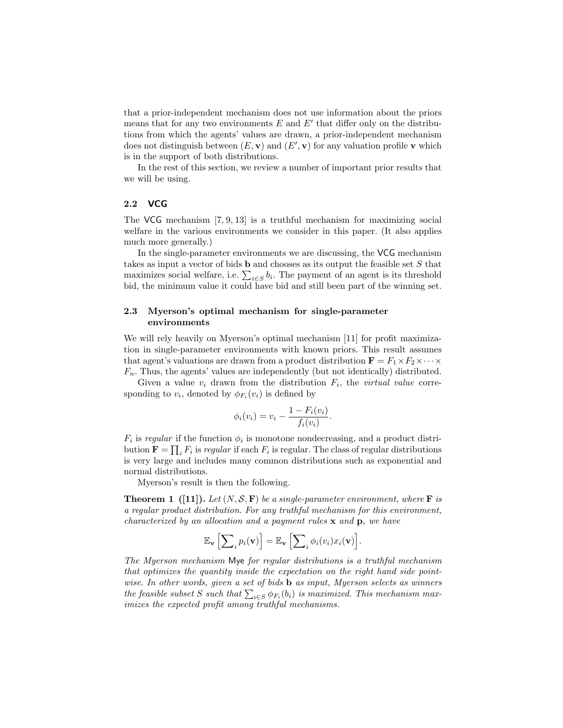that a prior-independent mechanism does not use information about the priors means that for any two environments  $E$  and  $E'$  that differ only on the distributions from which the agents' values are drawn, a prior-independent mechanism does not distinguish between  $(E, \mathbf{v})$  and  $(E', \mathbf{v})$  for any valuation profile v which is in the support of both distributions.

In the rest of this section, we review a number of important prior results that we will be using.

#### 2.2 VCG

The VCG mechanism [7, 9, 13] is a truthful mechanism for maximizing social welfare in the various environments we consider in this paper. (It also applies much more generally.)

In the single-parameter environments we are discussing, the VCG mechanism takes as input a vector of bids b and chooses as its output the feasible set S that maximizes social welfare, i.e.  $\sum_{i \in S} b_i$ . The payment of an agent is its threshold bid, the minimum value it could have bid and still been part of the winning set.

## 2.3 Myerson's optimal mechanism for single-parameter environments

We will rely heavily on Myerson's optimal mechanism [11] for profit maximization in single-parameter environments with known priors. This result assumes that agent's valuations are drawn from a product distribution  $\mathbf{F} = F_1 \times F_2 \times \cdots \times$  $F_n$ . Thus, the agents' values are independently (but not identically) distributed.

Given a value  $v_i$  drawn from the distribution  $F_i$ , the *virtual value* corresponding to  $v_i$ , denoted by  $\phi_{F_i}(v_i)$  is defined by

$$
\phi_i(v_i) = v_i - \frac{1 - F_i(v_i)}{f_i(v_i)}.
$$

 $F_i$  is regular if the function  $\phi_i$  is monotone nondecreasing, and a product distribution  $\mathbf{F} = \prod_i F_i$  is regular if each  $F_i$  is regular. The class of regular distributions is very large and includes many common distributions such as exponential and normal distributions.

Myerson's result is then the following.

**Theorem 1** ([11]). Let  $(N, \mathcal{S}, \mathbf{F})$  be a single-parameter environment, where **F** is a regular product distribution. For any truthful mechanism for this environment, characterized by an allocation and a payment rules x and p, we have

$$
\mathbb{E}_{\mathbf{v}}\left[\sum_i p_i(\mathbf{v})\right] = \mathbb{E}_{\mathbf{v}}\left[\sum_i \phi_i(v_i) x_i(\mathbf{v})\right].
$$

The Myerson mechanism Mye for regular distributions is a truthful mechanism that optimizes the quantity inside the expectation on the right hand side pointwise. In other words, given a set of bids **b** as input, Myerson selects as winners the feasible subset S such that  $\sum_{i \in S} \phi_{F_i}(b_i)$  is maximized. This mechanism maximizes the expected profit among truthful mechanisms.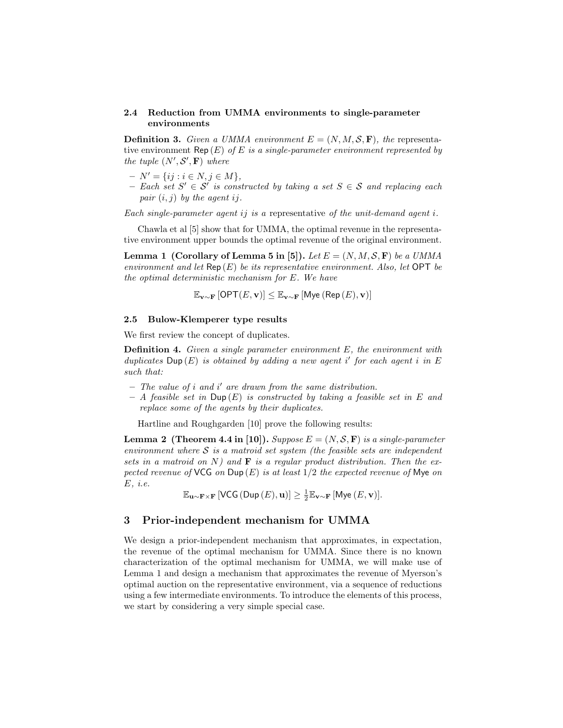# 2.4 Reduction from UMMA environments to single-parameter environments

**Definition 3.** Given a UMMA environment  $E = (N, M, S, F)$ , the representative environment Rep  $(E)$  of E is a single-parameter environment represented by the tuple  $(N', \mathcal{S}', \mathbf{F})$  where

- $N' = \{ij : i \in N, j \in M\},\$
- $-$  Each set S' ∈ S' is constructed by taking a set S ∈ S and replacing each pair  $(i, j)$  by the agent ij.

Each single-parameter agent ij is a representative of the unit-demand agent i.

Chawla et al [5] show that for UMMA, the optimal revenue in the representative environment upper bounds the optimal revenue of the original environment.

**Lemma 1 (Corollary of Lemma 5 in [5]).** Let  $E = (N, M, S, F)$  be a UMMA environment and let  $\text{Rep}(E)$  be its representative environment. Also, let OPT be the optimal deterministic mechanism for E. We have

$$
\mathbb{E}_{\mathbf{v} \sim \mathbf{F}} \left[ \mathsf{OPT}(E, \mathbf{v}) \right] \leq \mathbb{E}_{\mathbf{v} \sim \mathbf{F}} \left[ \mathsf{Mye} \left( \mathsf{Rep}\left( E \right), \mathbf{v} \right) \right]
$$

#### 2.5 Bulow-Klemperer type results

We first review the concept of duplicates.

**Definition 4.** Given a single parameter environment  $E$ , the environment with duplicates  $\textsf{Dup}(E)$  is obtained by adding a new agent i' for each agent i in E such that:

- $-$  The value of i and i' are drawn from the same distribution.
- $A$  feasible set in  $\mathsf{Dup}(E)$  is constructed by taking a feasible set in E and replace some of the agents by their duplicates.

Hartline and Roughgarden [10] prove the following results:

**Lemma 2 (Theorem 4.4 in [10]).** Suppose  $E = (N, S, F)$  is a single-parameter environment where  $S$  is a matroid set system (the feasible sets are independent sets in a matroid on N) and  $\bf{F}$  is a regular product distribution. Then the expected revenue of  $\mathsf{VCG}$  on  $\mathsf{Dup}(E)$  is at least  $1/2$  the expected revenue of Mye on E, i.e.

 $\mathbb{E}_{\mathbf{u} \sim \mathbf{F} \times \mathbf{F}} \left[ \mathsf{VCG}\left( \mathsf{Dup}\left( E \right), \mathbf{u} \right) \right] \geq \frac{1}{2} \mathbb{E}_{\mathbf{v} \sim \mathbf{F}} \left[ \mathsf{Mye}\left( E, \mathbf{v} \right) \right]$ 

# 3 Prior-independent mechanism for UMMA

We design a prior-independent mechanism that approximates, in expectation, the revenue of the optimal mechanism for UMMA. Since there is no known characterization of the optimal mechanism for UMMA, we will make use of Lemma 1 and design a mechanism that approximates the revenue of Myerson's optimal auction on the representative environment, via a sequence of reductions using a few intermediate environments. To introduce the elements of this process, we start by considering a very simple special case.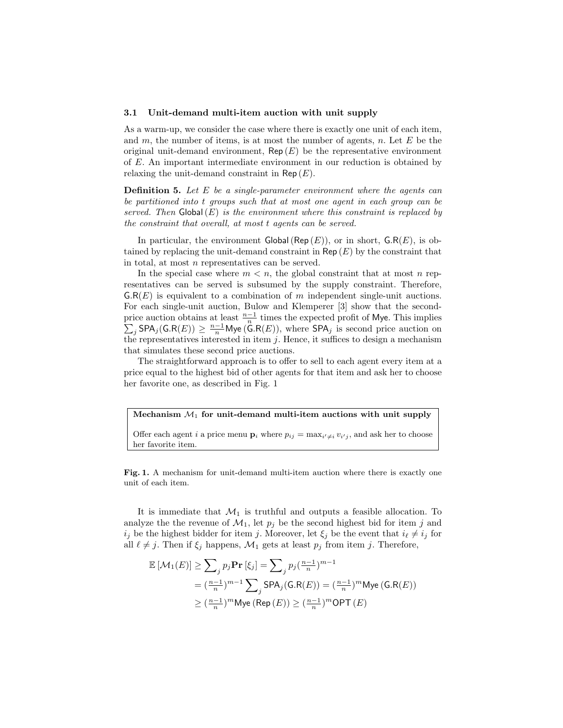#### 3.1 Unit-demand multi-item auction with unit supply

As a warm-up, we consider the case where there is exactly one unit of each item, and  $m$ , the number of items, is at most the number of agents,  $n$ . Let  $E$  be the original unit-demand environment,  $\text{Rep}(E)$  be the representative environment of E. An important intermediate environment in our reduction is obtained by relaxing the unit-demand constraint in Rep  $(E)$ .

**Definition 5.** Let  $E$  be a single-parameter environment where the agents can be partitioned into t groups such that at most one agent in each group can be served. Then  $\mathsf{Global}(E)$  is the environment where this constraint is replaced by the constraint that overall, at most t agents can be served.

In particular, the environment  $\mathsf{Global}(\mathsf{Rep}(E))$ , or in short,  $\mathsf{G}.\mathsf{R}(E)$ , is obtained by replacing the unit-demand constraint in  $\mathsf{Rep}(E)$  by the constraint that in total, at most n representatives can be served.

In the special case where  $m < n$ , the global constraint that at most n representatives can be served is subsumed by the supply constraint. Therefore,  $G.R(E)$  is equivalent to a combination of m independent single-unit auctions. For each single-unit auction, Bulow and Klemperer [3] show that the secondprice auction obtains at least  $\frac{n-1}{n}$  times the expected profit of Mye. This implies  $\sum_j$  SPA<sub>j</sub> (G.R(E))  $\geq \frac{n-1}{n}$  Mye (G.R(E)), where SPA<sub>j</sub> is second price auction on the representatives interested in item  $j$ . Hence, it suffices to design a mechanism that simulates these second price auctions.

The straightforward approach is to offer to sell to each agent every item at a price equal to the highest bid of other agents for that item and ask her to choose her favorite one, as described in Fig. 1

### Mechanism  $\mathcal{M}_1$  for unit-demand multi-item auctions with unit supply

Offer each agent *i* a price menu  $\mathbf{p}_i$  where  $p_{ij} = \max_{i' \neq i} v_{i'j}$ , and ask her to choose her favorite item.

Fig. 1. A mechanism for unit-demand multi-item auction where there is exactly one unit of each item.

It is immediate that  $\mathcal{M}_1$  is truthful and outputs a feasible allocation. To analyze the the revenue of  $\mathcal{M}_1$ , let  $p_i$  be the second highest bid for item j and  $i_j$  be the highest bidder for item j. Moreover, let  $\xi_j$  be the event that  $i_\ell \neq i_j$  for all  $\ell \neq j$ . Then if  $\xi_j$  happens,  $\mathcal{M}_1$  gets at least  $p_j$  from item j. Therefore,

$$
\mathbb{E}\left[\mathcal{M}_1(E)\right] \ge \sum_j p_j \mathbf{Pr}\left[\xi_j\right] = \sum_j p_j \left(\frac{n-1}{n}\right)^{m-1}
$$
\n
$$
= \left(\frac{n-1}{n}\right)^{m-1} \sum_j \mathsf{SPA}_j(\mathsf{G}.\mathsf{R}(E)) = \left(\frac{n-1}{n}\right)^m \mathsf{Mye}\left(\mathsf{G}.\mathsf{R}(E)\right)
$$
\n
$$
\ge \left(\frac{n-1}{n}\right)^m \mathsf{Mye}\left(\mathsf{Rep}\left(E\right)\right) \ge \left(\frac{n-1}{n}\right)^m \mathsf{OPT}\left(E\right)
$$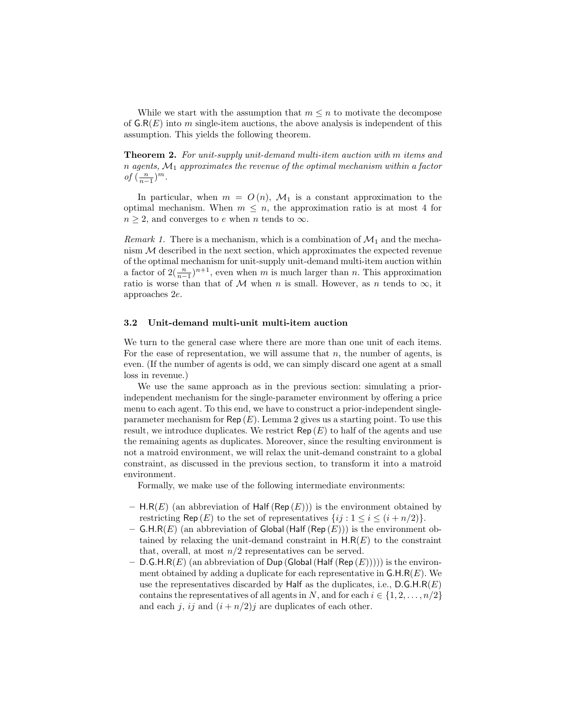While we start with the assumption that  $m \leq n$  to motivate the decompose of  $G.R(E)$  into m single-item auctions, the above analysis is independent of this assumption. This yields the following theorem.

Theorem 2. For unit-supply unit-demand multi-item auction with m items and  $n$  agents,  $\mathcal{M}_1$  approximates the revenue of the optimal mechanism within a factor of  $(\frac{n}{n-1})^m$ .

In particular, when  $m = O(n)$ ,  $\mathcal{M}_1$  is a constant approximation to the optimal mechanism. When  $m \leq n$ , the approximation ratio is at most 4 for  $n \geq 2$ , and converges to e when n tends to  $\infty$ .

*Remark 1.* There is a mechanism, which is a combination of  $\mathcal{M}_1$  and the mechanism  $M$  described in the next section, which approximates the expected revenue of the optimal mechanism for unit-supply unit-demand multi-item auction within a factor of  $2(\frac{n}{n-1})^{n+1}$ , even when m is much larger than n. This approximation ratio is worse than that of M when n is small. However, as n tends to  $\infty$ , it approaches 2e.

#### 3.2 Unit-demand multi-unit multi-item auction

We turn to the general case where there are more than one unit of each items. For the ease of representation, we will assume that  $n$ , the number of agents, is even. (If the number of agents is odd, we can simply discard one agent at a small loss in revenue.)

We use the same approach as in the previous section: simulating a priorindependent mechanism for the single-parameter environment by offering a price menu to each agent. To this end, we have to construct a prior-independent singleparameter mechanism for Rep  $(E)$ . Lemma 2 gives us a starting point. To use this result, we introduce duplicates. We restrict  $\mathsf{Rep}(E)$  to half of the agents and use the remaining agents as duplicates. Moreover, since the resulting environment is not a matroid environment, we will relax the unit-demand constraint to a global constraint, as discussed in the previous section, to transform it into a matroid environment.

Formally, we make use of the following intermediate environments:

- H.R(E) (an abbreviation of Half (Rep  $(E)$ )) is the environment obtained by restricting Rep  $(E)$  to the set of representatives  $\{ij : 1 \le i \le (i + n/2)\}.$
- G.H.R(E) (an abbreviation of Global (Half (Rep  $(E)$ )) is the environment obtained by relaxing the unit-demand constraint in  $H.R(E)$  to the constraint that, overall, at most  $n/2$  representatives can be served.
- $-$  D.G.H.R(E) (an abbreviation of Dup (Global (Half (Rep  $(E))$ ))) is the environment obtained by adding a duplicate for each representative in  $G.H.R(E)$ . We use the representatives discarded by Half as the duplicates, i.e.,  $D.G.H.R(E)$ contains the representatives of all agents in N, and for each  $i \in \{1, 2, \ldots, n/2\}$ and each j, ij and  $(i + n/2)j$  are duplicates of each other.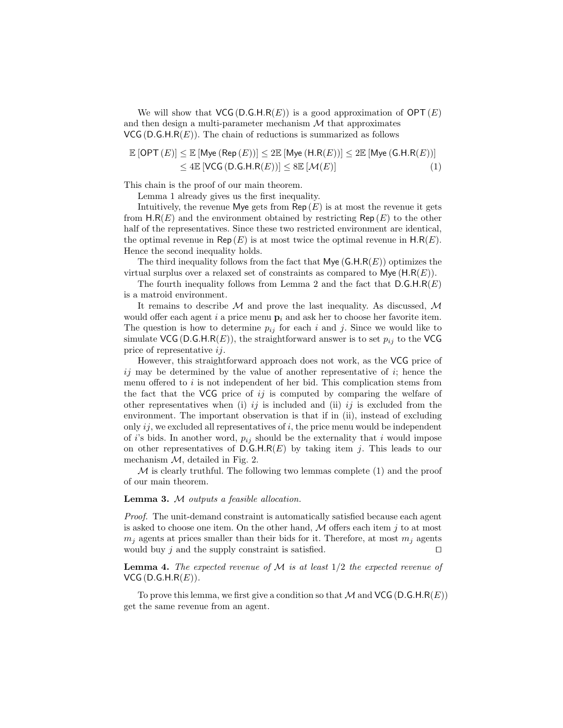We will show that  $VCG(D.G.H.R(E))$  is a good approximation of  $OPT(E)$ and then design a multi-parameter mechanism  $\mathcal M$  that approximates  $VCG (D.G.H.R(E))$ . The chain of reductions is summarized as follows

$$
\mathbb{E}\left[\mathsf{OPT}\left(E\right)\right] \leq \mathbb{E}\left[\mathsf{Mye}\left(\mathsf{Rep}\left(E\right)\right)\right] \leq 2\mathbb{E}\left[\mathsf{Mye}\left(\mathsf{H.R}(E\right)\right)\right] \leq 2\mathbb{E}\left[\mathsf{Mye}\left(\mathsf{G.H.R}(E)\right)\right] \leq 4\mathbb{E}\left[\mathsf{VCG}\left(\mathsf{D.G.H.R}(E)\right)\right] \leq 8\mathbb{E}\left[\mathcal{M}(E)\right] \tag{1}
$$

This chain is the proof of our main theorem.

Lemma 1 already gives us the first inequality.

Intuitively, the revenue Mye gets from  $\mathsf{Rep}(E)$  is at most the revenue it gets from  $H.R(E)$  and the environment obtained by restricting Rep  $(E)$  to the other half of the representatives. Since these two restricted environment are identical, the optimal revenue in Rep  $(E)$  is at most twice the optimal revenue in H.R(E). Hence the second inequality holds.

The third inequality follows from the fact that  $Mye(G.H.R(E))$  optimizes the virtual surplus over a relaxed set of constraints as compared to  $Mye(H.R(E)).$ 

The fourth inequality follows from Lemma 2 and the fact that  $D.G.H.R(E)$ is a matroid environment.

It remains to describe  $\mathcal M$  and prove the last inequality. As discussed,  $\mathcal M$ would offer each agent i a price menu  $\mathbf{p}_i$  and ask her to choose her favorite item. The question is how to determine  $p_{ij}$  for each i and j. Since we would like to simulate VCG (D.G.H.R(E)), the straightforward answer is to set  $p_{ij}$  to the VCG price of representative  $ij$ .

However, this straightforward approach does not work, as the VCG price of  $ij$  may be determined by the value of another representative of  $i$ ; hence the menu offered to  $i$  is not independent of her bid. This complication stems from the fact that the VCG price of  $ij$  is computed by comparing the welfare of other representatives when (i) ij is included and (ii) ij is excluded from the environment. The important observation is that if in (ii), instead of excluding only  $ij$ , we excluded all representatives of  $i$ , the price menu would be independent of i's bids. In another word,  $p_{ij}$  should be the externality that i would impose on other representatives of  $D.G.H.R(E)$  by taking item j. This leads to our mechanism  $M$ , detailed in Fig. 2.

 $\mathcal M$  is clearly truthful. The following two lemmas complete (1) and the proof of our main theorem.

#### Lemma 3. M outputs a feasible allocation.

Proof. The unit-demand constraint is automatically satisfied because each agent is asked to choose one item. On the other hand,  $M$  offers each item j to at most  $m_i$  agents at prices smaller than their bids for it. Therefore, at most  $m_i$  agents would buy j and the supply constraint is satisfied.  $\Box$ 

**Lemma 4.** The expected revenue of M is at least  $1/2$  the expected revenue of  $VCG$  (D.G.H.R $(E)$ ).

To prove this lemma, we first give a condition so that  $\mathcal M$  and VCG (D.G.H.R(E)) get the same revenue from an agent.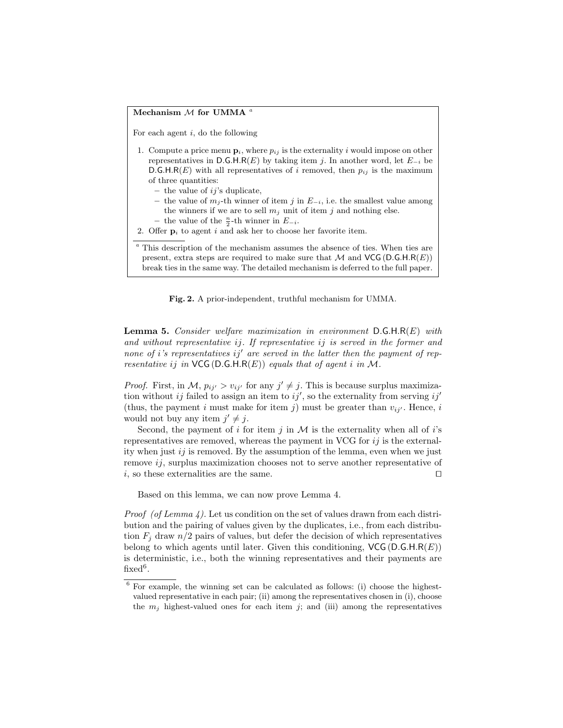# Mechanism  $M$  for UMMA

For each agent  $i$ , do the following

- 1. Compute a price menu  $\mathbf{p}_i$ , where  $p_{ij}$  is the externality i would impose on other representatives in D.G.H.R(E) by taking item j. In another word, let  $E_{-i}$  be **D.G.H.R**(E) with all representatives of i removed, then  $p_{ij}$  is the maximum of three quantities:
	- the value of  $ij$ 's duplicate,
	- the value of  $m_j$ -th winner of item j in  $E_{-i}$ , i.e. the smallest value among the winners if we are to sell  $m_i$  unit of item j and nothing else.
	- the value of the  $\frac{n}{2}$ -th winner in  $E_{-i}$ .
- 2. Offer  $p_i$  to agent i and ask her to choose her favorite item.
- $\,^a$  This description of the mechanism assumes the absence of ties. When ties are present, extra steps are required to make sure that  $M$  and  $VCG$  (D.G.H.R(E)) break ties in the same way. The detailed mechanism is deferred to the full paper.

Fig. 2. A prior-independent, truthful mechanism for UMMA.

**Lemma 5.** Consider welfare maximization in environment  $D.G.H.R(E)$  with and without representative  $i_j$ . If representative  $i_j$  is served in the former and none of i's representatives ij' are served in the latter then the payment of representative ij in  $VCG(D.G.H.R(E))$  equals that of agent i in M.

*Proof.* First, in  $M$ ,  $p_{ij'} > v_{ij'}$  for any  $j' \neq j$ . This is because surplus maximization without ij failed to assign an item to  $ij'$ , so the externality from serving  $ij'$ (thus, the payment i must make for item j) must be greater than  $v_{ii'}$ . Hence, i would not buy any item  $j' \neq j$ .

Second, the payment of i for item j in  $M$  is the externality when all of i's representatives are removed, whereas the payment in VCG for  $ij$  is the externality when just  $ij$  is removed. By the assumption of the lemma, even when we just remove  $i_j$ , surplus maximization chooses not to serve another representative of i, so these externalities are the same.  $\Box$ 

Based on this lemma, we can now prove Lemma 4.

*Proof (of Lemma 4).* Let us condition on the set of values drawn from each distribution and the pairing of values given by the duplicates, i.e., from each distribution  $F_i$  draw  $n/2$  pairs of values, but defer the decision of which representatives belong to which agents until later. Given this conditioning,  $VCG(D.G.H.R(E))$ is deterministic, i.e., both the winning representatives and their payments are  $\text{fixed}^6$ .

<sup>6</sup> For example, the winning set can be calculated as follows: (i) choose the highestvalued representative in each pair; (ii) among the representatives chosen in (i), choose the  $m_j$  highest-valued ones for each item j; and (iii) among the representatives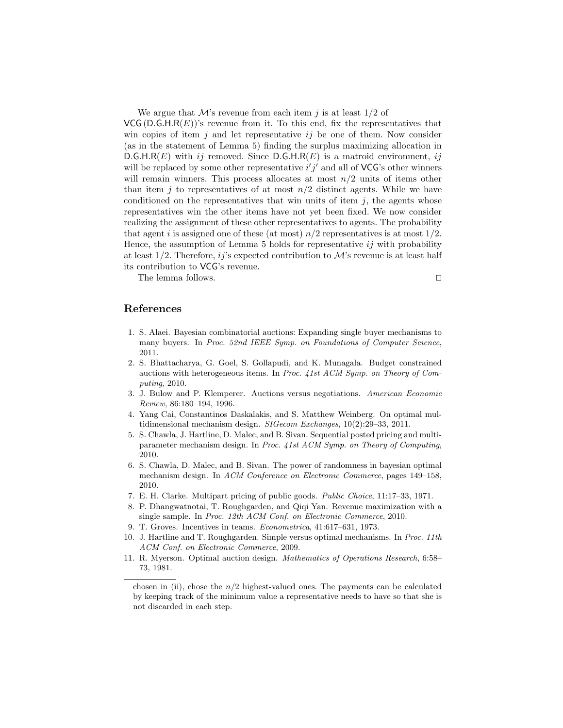We argue that  $\mathcal{M}$ 's revenue from each item j is at least  $1/2$  of  $VCG (D.G.H.R(E))$ 's revenue from it. To this end, fix the representatives that win copies of item j and let representative  $ij$  be one of them. Now consider (as in the statement of Lemma 5) finding the surplus maximizing allocation in D.G.H.R(E) with ij removed. Since D.G.H.R(E) is a matroid environment, ij will be replaced by some other representative  $i'j'$  and all of VCG's other winners will remain winners. This process allocates at most  $n/2$  units of items other than item j to representatives of at most  $n/2$  distinct agents. While we have conditioned on the representatives that win units of item  $j$ , the agents whose representatives win the other items have not yet been fixed. We now consider realizing the assignment of these other representatives to agents. The probability that agent i is assigned one of these (at most)  $n/2$  representatives is at most  $1/2$ . Hence, the assumption of Lemma 5 holds for representative  $i\dot{j}$  with probability at least  $1/2$ . Therefore, ij's expected contribution to M's revenue is at least half its contribution to VCG's revenue.

The lemma follows.  $\Box$ 

# References

- 1. S. Alaei. Bayesian combinatorial auctions: Expanding single buyer mechanisms to many buyers. In Proc. 52nd IEEE Symp. on Foundations of Computer Science, 2011.
- 2. S. Bhattacharya, G. Goel, S. Gollapudi, and K. Munagala. Budget constrained auctions with heterogeneous items. In Proc. 41st ACM Symp. on Theory of Computing, 2010.
- 3. J. Bulow and P. Klemperer. Auctions versus negotiations. American Economic Review, 86:180–194, 1996.
- 4. Yang Cai, Constantinos Daskalakis, and S. Matthew Weinberg. On optimal multidimensional mechanism design. SIGecom Exchanges, 10(2):29-33, 2011.
- 5. S. Chawla, J. Hartline, D. Malec, and B. Sivan. Sequential posted pricing and multiparameter mechanism design. In Proc. 41st ACM Symp. on Theory of Computing, 2010.
- 6. S. Chawla, D. Malec, and B. Sivan. The power of randomness in bayesian optimal mechanism design. In ACM Conference on Electronic Commerce, pages 149–158, 2010.
- 7. E. H. Clarke. Multipart pricing of public goods. Public Choice, 11:17–33, 1971.
- 8. P. Dhangwatnotai, T. Roughgarden, and Qiqi Yan. Revenue maximization with a single sample. In Proc. 12th ACM Conf. on Electronic Commerce, 2010.
- 9. T. Groves. Incentives in teams. Econometrica, 41:617–631, 1973.
- 10. J. Hartline and T. Roughgarden. Simple versus optimal mechanisms. In Proc. 11th ACM Conf. on Electronic Commerce, 2009.
- 11. R. Myerson. Optimal auction design. Mathematics of Operations Research, 6:58– 73, 1981.

chosen in (ii), chose the  $n/2$  highest-valued ones. The payments can be calculated by keeping track of the minimum value a representative needs to have so that she is not discarded in each step.